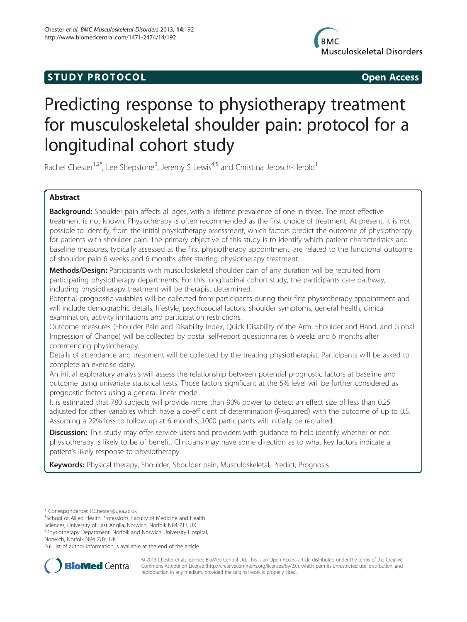# **STUDY PROTOCOL** CONTROL CONTROL CONTROL CONTROL CONTROL CONTROL CONTROL CONTROL CONTROL CONTROL CONTROL CONTROL CONTROL CONTROL CONTROL CONTROL CONTROL CONTROL CONTROL CONTROL CONTROL CONTROL CONTROL CONTROL CONTROL CONTR



# Predicting response to physiotherapy treatment for musculoskeletal shoulder pain: protocol for a longitudinal cohort study

Rachel Chester<sup>1,2\*</sup>, Lee Shepstone<sup>3</sup>, Jeremy S Lewis<sup>4,5</sup> and Christina Jerosch-Herold<sup>1</sup>

# Abstract

Background: Shoulder pain affects all ages, with a lifetime prevalence of one in three. The most effective treatment is not known. Physiotherapy is often recommended as the first choice of treatment. At present, it is not possible to identify, from the initial physiotherapy assessment, which factors predict the outcome of physiotherapy for patients with shoulder pain. The primary objective of this study is to identify which patient characteristics and baseline measures, typically assessed at the first physiotherapy appointment, are related to the functional outcome of shoulder pain 6 weeks and 6 months after starting physiotherapy treatment.

Methods/Design: Participants with musculoskeletal shoulder pain of any duration will be recruited from participating physiotherapy departments. For this longitudinal cohort study, the participants care pathway, including physiotherapy treatment will be therapist determined.

Potential prognostic variables will be collected from participants during their first physiotherapy appointment and will include demographic details, lifestyle, psychosocial factors, shoulder symptoms, general health, clinical examination, activity limitations and participation restrictions.

Outcome measures (Shoulder Pain and Disability Index, Quick Disability of the Arm, Shoulder and Hand, and Global Impression of Change) will be collected by postal self-report questionnaires 6 weeks and 6 months after commencing physiotherapy.

Details of attendance and treatment will be collected by the treating physiotherapist. Participants will be asked to complete an exercise dairy.

An initial exploratory analysis will assess the relationship between potential prognostic factors at baseline and outcome using univariate statistical tests. Those factors significant at the 5% level will be further considered as prognostic factors using a general linear model.

It is estimated that 780 subjects will provide more than 90% power to detect an effect size of less than 0.25 adjusted for other variables which have a co-efficient of determination (R-squared) with the outcome of up to 0.5. Assuming a 22% loss to follow up at 6 months, 1000 participants will initially be recruited.

**Discussion:** This study may offer service users and providers with guidance to help identify whether or not physiotherapy is likely to be of benefit. Clinicians may have some direction as to what key factors indicate a patient's likely response to physiotherapy.

Keywords: Physical therapy, Shoulder, Shoulder pain, Musculoskeletal, Predict, Prognosis

Sciences, University of East Anglia, Norwich, Norfolk NR4 7TJ, UK

2 Physiotherapy Department, Norfolk and Norwich University Hospital, Norwich, Norfolk NR4 7UY, UK

Full list of author information is available at the end of the article



© 2013 Chester et al.; licensee BioMed Central Ltd. This is an Open Access article distributed under the terms of the Creative Commons Attribution License [\(http://creativecommons.org/licenses/by/2.0\)](http://creativecommons.org/licenses/by/2.0), which permits unrestricted use, distribution, and reproduction in any medium, provided the original work is properly cited.

<sup>\*</sup> Correspondence: [R.Chester@uea.ac.uk](mailto:R.Chester@uea.ac.uk) <sup>1</sup>

<sup>&</sup>lt;sup>1</sup> School of Allied Health Professions, Faculty of Medicine and Health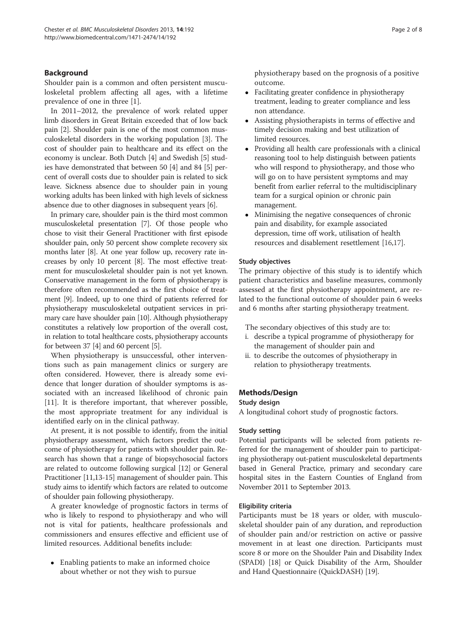# Background

Shoulder pain is a common and often persistent musculoskeletal problem affecting all ages, with a lifetime prevalence of one in three [[1\]](#page-6-0).

In 2011–2012, the prevalence of work related upper limb disorders in Great Britain exceeded that of low back pain [\[2](#page-6-0)]. Shoulder pain is one of the most common musculoskeletal disorders in the working population [[3\]](#page-6-0). The cost of shoulder pain to healthcare and its effect on the economy is unclear. Both Dutch [\[4](#page-6-0)] and Swedish [\[5\]](#page-6-0) studies have demonstrated that between 50 [\[4](#page-6-0)] and 84 [\[5](#page-6-0)] percent of overall costs due to shoulder pain is related to sick leave. Sickness absence due to shoulder pain in young working adults has been linked with high levels of sickness absence due to other diagnoses in subsequent years [\[6](#page-6-0)].

In primary care, shoulder pain is the third most common musculoskeletal presentation [\[7\]](#page-6-0). Of those people who chose to visit their General Practitioner with first episode shoulder pain, only 50 percent show complete recovery six months later [[8](#page-6-0)]. At one year follow up, recovery rate increases by only 10 percent [\[8](#page-6-0)]. The most effective treatment for musculoskeletal shoulder pain is not yet known. Conservative management in the form of physiotherapy is therefore often recommended as the first choice of treatment [\[9\]](#page-6-0). Indeed, up to one third of patients referred for physiotherapy musculoskeletal outpatient services in primary care have shoulder pain [\[10\]](#page-6-0). Although physiotherapy constitutes a relatively low proportion of the overall cost, in relation to total healthcare costs, physiotherapy accounts for between 37 [\[4\]](#page-6-0) and 60 percent [\[5\]](#page-6-0).

When physiotherapy is unsuccessful, other interventions such as pain management clinics or surgery are often considered. However, there is already some evidence that longer duration of shoulder symptoms is associated with an increased likelihood of chronic pain [[11\]](#page-6-0). It is therefore important, that wherever possible, the most appropriate treatment for any individual is identified early on in the clinical pathway.

At present, it is not possible to identify, from the initial physiotherapy assessment, which factors predict the outcome of physiotherapy for patients with shoulder pain. Research has shown that a range of biopsychosocial factors are related to outcome following surgical [[12](#page-7-0)] or General Practitioner [\[11,](#page-6-0)[13-15\]](#page-7-0) management of shoulder pain. This study aims to identify which factors are related to outcome of shoulder pain following physiotherapy.

A greater knowledge of prognostic factors in terms of who is likely to respond to physiotherapy and who will not is vital for patients, healthcare professionals and commissioners and ensures effective and efficient use of limited resources. Additional benefits include:

 Enabling patients to make an informed choice about whether or not they wish to pursue

physiotherapy based on the prognosis of a positive outcome.

- Facilitating greater confidence in physiotherapy treatment, leading to greater compliance and less non attendance.
- Assisting physiotherapists in terms of effective and timely decision making and best utilization of limited resources.
- Providing all health care professionals with a clinical reasoning tool to help distinguish between patients who will respond to physiotherapy, and those who will go on to have persistent symptoms and may benefit from earlier referral to the multidisciplinary team for a surgical opinion or chronic pain management.
- Minimising the negative consequences of chronic pain and disability, for example associated depression, time off work, utilisation of health resources and disablement resettlement [\[16,17\]](#page-7-0).

#### Study objectives

The primary objective of this study is to identify which patient characteristics and baseline measures, commonly assessed at the first physiotherapy appointment, are related to the functional outcome of shoulder pain 6 weeks and 6 months after starting physiotherapy treatment.

The secondary objectives of this study are to:

- i. describe a typical programme of physiotherapy for the management of shoulder pain and
- ii. to describe the outcomes of physiotherapy in relation to physiotherapy treatments.

#### Methods/Design

#### Study design

A longitudinal cohort study of prognostic factors.

#### Study setting

Potential participants will be selected from patients referred for the management of shoulder pain to participating physiotherapy out-patient musculoskeletal departments based in General Practice, primary and secondary care hospital sites in the Eastern Counties of England from November 2011 to September 2013.

#### Eligibility criteria

Participants must be 18 years or older, with musculoskeletal shoulder pain of any duration, and reproduction of shoulder pain and/or restriction on active or passive movement in at least one direction. Participants must score 8 or more on the Shoulder Pain and Disability Index (SPADI) [[18](#page-7-0)] or Quick Disability of the Arm, Shoulder and Hand Questionnaire (QuickDASH) [\[19\]](#page-7-0).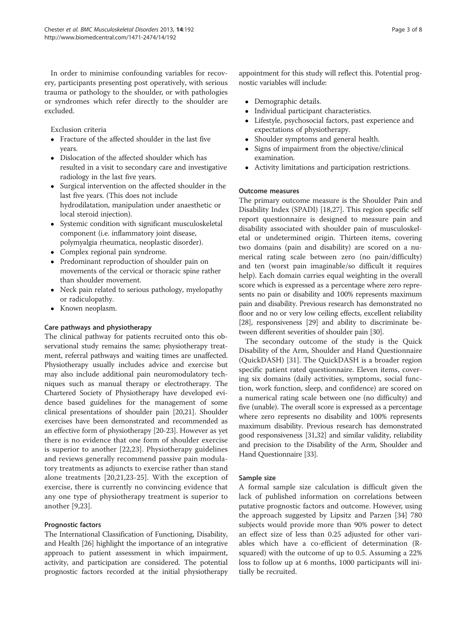In order to minimise confounding variables for recovery, participants presenting post operatively, with serious trauma or pathology to the shoulder, or with pathologies or syndromes which refer directly to the shoulder are excluded.

Exclusion criteria

- Fracture of the affected shoulder in the last five years.
- Dislocation of the affected shoulder which has resulted in a visit to secondary care and investigative radiology in the last five years.
- Surgical intervention on the affected shoulder in the last five years. (This does not include hydrodilatation, manipulation under anaesthetic or local steroid injection).
- Systemic condition with significant musculoskeletal component (i.e. inflammatory joint disease, polymyalgia rheumatica, neoplastic disorder).
- Complex regional pain syndrome.
- Predominant reproduction of shoulder pain on movements of the cervical or thoracic spine rather than shoulder movement.
- Neck pain related to serious pathology, myelopathy or radiculopathy.
- Known neoplasm.

#### Care pathways and physiotherapy

The clinical pathway for patients recruited onto this observational study remains the same; physiotherapy treatment, referral pathways and waiting times are unaffected. Physiotherapy usually includes advice and exercise but may also include additional pain neuromodulatory techniques such as manual therapy or electrotherapy. The Chartered Society of Physiotherapy have developed evidence based guidelines for the management of some clinical presentations of shoulder pain [[20,21\]](#page-7-0). Shoulder exercises have been demonstrated and recommended as an effective form of physiotherapy [[20](#page-7-0)-[23](#page-7-0)]. However as yet there is no evidence that one form of shoulder exercise is superior to another [[22,23\]](#page-7-0). Physiotherapy guidelines and reviews generally recommend passive pain modulatory treatments as adjuncts to exercise rather than stand alone treatments [[20,21](#page-7-0),[23-25](#page-7-0)]. With the exception of exercise, there is currently no convincing evidence that any one type of physiotherapy treatment is superior to another [[9,](#page-6-0)[23\]](#page-7-0).

#### Prognostic factors

The International Classification of Functioning, Disability, and Health [\[26\]](#page-7-0) highlight the importance of an integrative approach to patient assessment in which impairment, activity, and participation are considered. The potential prognostic factors recorded at the initial physiotherapy appointment for this study will reflect this. Potential prognostic variables will include:

- Demographic details.
- Individual participant characteristics.
- Lifestyle, psychosocial factors, past experience and expectations of physiotherapy.
- Shoulder symptoms and general health.
- Signs of impairment from the objective/clinical examination.
- Activity limitations and participation restrictions.

# Outcome measures

The primary outcome measure is the Shoulder Pain and Disability Index (SPADI) [[18,27\]](#page-7-0). This region specific self report questionnaire is designed to measure pain and disability associated with shoulder pain of musculoskeletal or undetermined origin. Thirteen items, covering two domains (pain and disability) are scored on a numerical rating scale between zero (no pain/difficulty) and ten (worst pain imaginable/so difficult it requires help). Each domain carries equal weighting in the overall score which is expressed as a percentage where zero represents no pain or disability and 100% represents maximum pain and disability. Previous research has demonstrated no floor and no or very low ceiling effects, excellent reliability [[28](#page-7-0)], responsiveness [\[29\]](#page-7-0) and ability to discriminate between different severities of shoulder pain [\[30\]](#page-7-0).

The secondary outcome of the study is the Quick Disability of the Arm, Shoulder and Hand Questionnaire (QuickDASH) [[31\]](#page-7-0). The QuickDASH is a broader region specific patient rated questionnaire. Eleven items, covering six domains (daily activities, symptoms, social function, work function, sleep, and confidence) are scored on a numerical rating scale between one (no difficulty) and five (unable). The overall score is expressed as a percentage where zero represents no disability and 100% represents maximum disability. Previous research has demonstrated good responsiveness [\[31,32](#page-7-0)] and similar validity, reliability and precision to the Disability of the Arm, Shoulder and Hand Questionnaire [\[33](#page-7-0)].

#### Sample size

A formal sample size calculation is difficult given the lack of published information on correlations between putative prognostic factors and outcome. However, using the approach suggested by Lipsitz and Parzen [[34\]](#page-7-0) 780 subjects would provide more than 90% power to detect an effect size of less than 0.25 adjusted for other variables which have a co-efficient of determination (Rsquared) with the outcome of up to 0.5. Assuming a 22% loss to follow up at 6 months, 1000 participants will initially be recruited.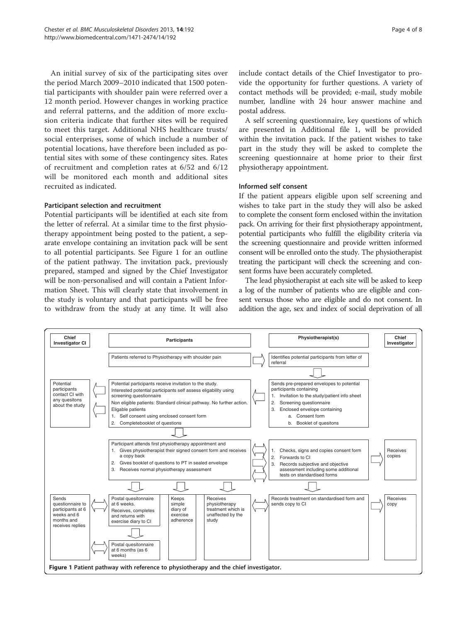An initial survey of six of the participating sites over the period March 2009–2010 indicated that 1500 potential participants with shoulder pain were referred over a 12 month period. However changes in working practice and referral patterns, and the addition of more exclusion criteria indicate that further sites will be required to meet this target. Additional NHS healthcare trusts/ social enterprises, some of which include a number of potential locations, have therefore been included as potential sites with some of these contingency sites. Rates of recruitment and completion rates at 6/52 and 6/12 will be monitored each month and additional sites recruited as indicated.

#### Participant selection and recruitment

Potential participants will be identified at each site from the letter of referral. At a similar time to the first physiotherapy appointment being posted to the patient, a separate envelope containing an invitation pack will be sent to all potential participants. See Figure 1 for an outline of the patient pathway. The invitation pack, previously prepared, stamped and signed by the Chief Investigator will be non-personalised and will contain a Patient Information Sheet. This will clearly state that involvement in the study is voluntary and that participants will be free to withdraw from the study at any time. It will also include contact details of the Chief Investigator to provide the opportunity for further questions. A variety of contact methods will be provided; e-mail, study mobile number, landline with 24 hour answer machine and postal address.

A self screening questionnaire, key questions of which are presented in Additional file [1](#page-6-0), will be provided within the invitation pack. If the patient wishes to take part in the study they will be asked to complete the screening questionnaire at home prior to their first physiotherapy appointment.

#### Informed self consent

If the patient appears eligible upon self screening and wishes to take part in the study they will also be asked to complete the consent form enclosed within the invitation pack. On arriving for their first physiotherapy appointment, potential participants who fulfill the eligibility criteria via the screening questionnaire and provide written informed consent will be enrolled onto the study. The physiotherapist treating the participant will check the screening and consent forms have been accurately completed.

The lead physiotherapist at each site will be asked to keep a log of the number of patients who are eligible and consent versus those who are eligible and do not consent. In addition the age, sex and index of social deprivation of all

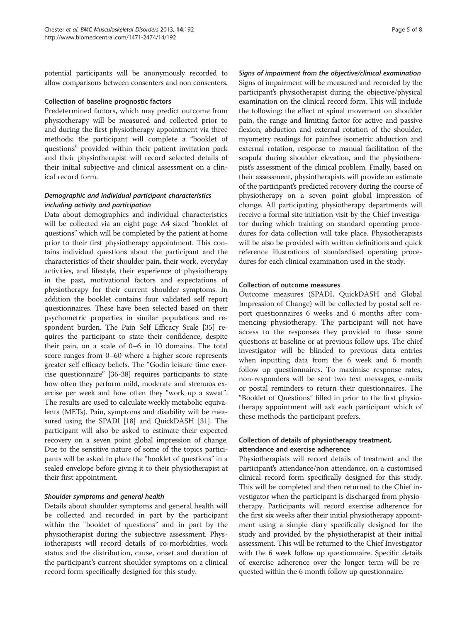potential participants will be anonymously recorded to allow comparisons between consenters and non consenters.

#### Collection of baseline prognostic factors

Predetermined factors, which may predict outcome from physiotherapy will be measured and collected prior to and during the first physiotherapy appointment via three methods; the participant will complete a "booklet of questions" provided within their patient invitation pack and their physiotherapist will record selected details of their initial subjective and clinical assessment on a clinical record form.

# Demographic and individual participant characteristics including activity and participation

Data about demographics and individual characteristics will be collected via an eight page A4 sized "booklet of questions" which will be completed by the patient at home prior to their first physiotherapy appointment. This contains individual questions about the participant and the characteristics of their shoulder pain, their work, everyday activities, and lifestyle, their experience of physiotherapy in the past, motivational factors and expectations of physiotherapy for their current shoulder symptoms. In addition the booklet contains four validated self report questionnaires. These have been selected based on their psychometric properties in similar populations and respondent burden. The Pain Self Efficacy Scale [\[35\]](#page-7-0) requires the participant to state their confidence, despite their pain, on a scale of 0–6 in 10 domains. The total score ranges from 0–60 where a higher score represents greater self efficacy beliefs. The "Godin leisure time exercise questionnaire" [\[36-38\]](#page-7-0) requires participants to state how often they perform mild, moderate and strenuos exercise per week and how often they "work up a sweat". The results are used to calculate weekly metabolic equivalents (METs). Pain, symptoms and disability will be measured using the SPADI [[18](#page-7-0)] and QuickDASH [\[31\]](#page-7-0). The participant will also be asked to estimate their expected recovery on a seven point global impression of change. Due to the sensitive nature of some of the topics participants will be asked to place the "booklet of questions" in a sealed envelope before giving it to their physiotherapist at their first appointment.

# Shoulder symptoms and general health

Details about shoulder symptoms and general health will be collected and recorded in part by the participant within the "booklet of questions" and in part by the physiotherapist during the subjective assessment. Physiotherapists will record details of co-morbidities, work status and the distribution, cause, onset and duration of the participant's current shoulder symptoms on a clinical record form specifically designed for this study.

Signs of impairment from the objective/clinical examination Signs of impairment will be measured and recorded by the participant's physiotherapist during the objective/physical examination on the clinical record form. This will include the following: the effect of spinal movement on shoulder pain, the range and limiting factor for active and passive flexion, abduction and external rotation of the shoulder, myometry readings for painfree isometric abduction and external rotation, response to manual facilitation of the scapula during shoulder elevation, and the physiotherapist's assessment of the clinical problem. Finally, based on their assessment, physiotherapists will provide an estimate of the participant's predicted recovery during the course of physiotherapy on a seven point global impression of change. All participating physiotherapy departments will receive a formal site initiation visit by the Chief Investigator during which training on standard operating procedures for data collection will take place. Physiotherapists will be also be provided with written definitions and quick reference illustrations of standardised operating procedures for each clinical examination used in the study.

#### Collection of outcome measures

Outcome measures (SPADI, QuickDASH and Global Impression of Change) will be collected by postal self report questionnaires 6 weeks and 6 months after commencing physiotherapy. The participant will not have access to the responses they provided to these same questions at baseline or at previous follow ups. The chief investigator will be blinded to previous data entries when inputting data from the 6 week and 6 month follow up questionnaires. To maximise response rates, non-responders will be sent two text messages, e-mails or postal reminders to return their questionnaires. The "Booklet of Questions" filled in prior to the first physiotherapy appointment will ask each participant which of these methods the participant prefers.

# Collection of details of physiotherapy treatment, attendance and exercise adherence

Physiotherapists will record details of treatment and the participant's attendance/non attendance, on a customised clinical record form specifically designed for this study. This will be completed and then returned to the Chief investigator when the participant is discharged from physiotherapy. Participants will record exercise adherence for the first six weeks after their initial physiotherapy appointment using a simple diary specifically designed for the study and provided by the physiotherapist at their initial assessment. This will be returned to the Chief Investigator with the 6 week follow up questionnaire. Specific details of exercise adherence over the longer term will be requested within the 6 month follow up questionnaire.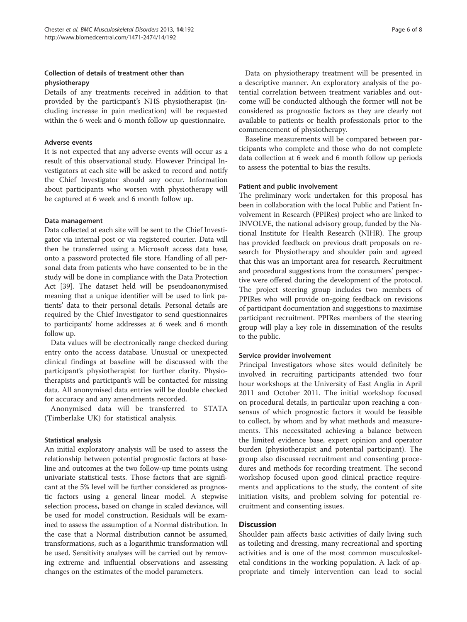# Collection of details of treatment other than physiotherapy

Details of any treatments received in addition to that provided by the participant's NHS physiotherapist (including increase in pain medication) will be requested within the 6 week and 6 month follow up questionnaire.

#### Adverse events

It is not expected that any adverse events will occur as a result of this observational study. However Principal Investigators at each site will be asked to record and notify the Chief Investigator should any occur. Information about participants who worsen with physiotherapy will be captured at 6 week and 6 month follow up.

# Data management

Data collected at each site will be sent to the Chief Investigator via internal post or via registered courier. Data will then be transferred using a Microsoft access data base, onto a password protected file store. Handling of all personal data from patients who have consented to be in the study will be done in compliance with the Data Protection Act [[39](#page-7-0)]. The dataset held will be pseudoanonymised meaning that a unique identifier will be used to link patients' data to their personal details. Personal details are required by the Chief Investigator to send questionnaires to participants' home addresses at 6 week and 6 month follow up.

Data values will be electronically range checked during entry onto the access database. Unusual or unexpected clinical findings at baseline will be discussed with the participant's physiotherapist for further clarity. Physiotherapists and participant's will be contacted for missing data. All anonymised data entries will be double checked for accuracy and any amendments recorded.

Anonymised data will be transferred to STATA (Timberlake UK) for statistical analysis.

# Statistical analysis

An initial exploratory analysis will be used to assess the relationship between potential prognostic factors at baseline and outcomes at the two follow-up time points using univariate statistical tests. Those factors that are significant at the 5% level will be further considered as prognostic factors using a general linear model. A stepwise selection process, based on change in scaled deviance, will be used for model construction. Residuals will be examined to assess the assumption of a Normal distribution. In the case that a Normal distribution cannot be assumed, transformations, such as a logarithmic transformation will be used. Sensitivity analyses will be carried out by removing extreme and influential observations and assessing changes on the estimates of the model parameters.

Data on physiotherapy treatment will be presented in a descriptive manner. An exploratory analysis of the potential correlation between treatment variables and outcome will be conducted although the former will not be considered as prognostic factors as they are clearly not available to patients or health professionals prior to the commencement of physiotherapy.

Baseline measurements will be compared between participants who complete and those who do not complete data collection at 6 week and 6 month follow up periods to assess the potential to bias the results.

#### Patient and public involvement

The preliminary work undertaken for this proposal has been in collaboration with the local Public and Patient Involvement in Research (PPIRes) project who are linked to INVOLVE, the national advisory group, funded by the National Institute for Health Research (NIHR). The group has provided feedback on previous draft proposals on research for Physiotherapy and shoulder pain and agreed that this was an important area for research. Recruitment and procedural suggestions from the consumers' perspective were offered during the development of the protocol. The project steering group includes two members of PPIRes who will provide on-going feedback on revisions of participant documentation and suggestions to maximise participant recruitment. PPIRes members of the steering group will play a key role in dissemination of the results to the public.

# Service provider involvement

Principal Investigators whose sites would definitely be involved in recruiting participants attended two four hour workshops at the University of East Anglia in April 2011 and October 2011. The initial workshop focused on procedural details, in particular upon reaching a consensus of which prognostic factors it would be feasible to collect, by whom and by what methods and measurements. This necessitated achieving a balance between the limited evidence base, expert opinion and operator burden (physiotherapist and potential participant). The group also discussed recruitment and consenting procedures and methods for recording treatment. The second workshop focused upon good clinical practice requirements and applications to the study, the content of site initiation visits, and problem solving for potential recruitment and consenting issues.

# **Discussion**

Shoulder pain affects basic activities of daily living such as toileting and dressing, many recreational and sporting activities and is one of the most common musculoskeletal conditions in the working population. A lack of appropriate and timely intervention can lead to social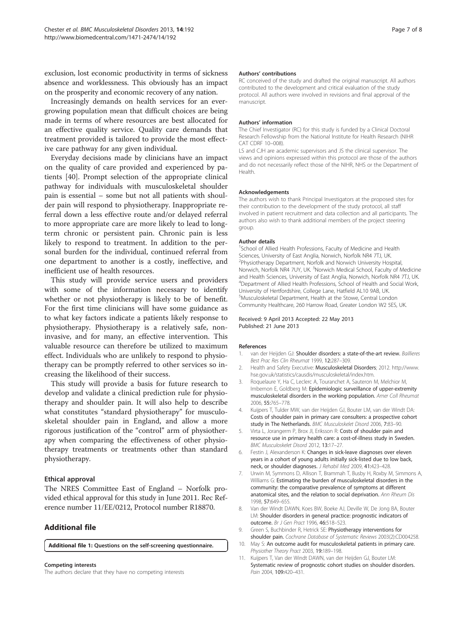<span id="page-6-0"></span>exclusion, lost economic productivity in terms of sickness absence and worklessness. This obviously has an impact on the prosperity and economic recovery of any nation.

Increasingly demands on health services for an evergrowing population mean that difficult choices are being made in terms of where resources are best allocated for an effective quality service. Quality care demands that treatment provided is tailored to provide the most effective care pathway for any given individual.

Everyday decisions made by clinicians have an impact on the quality of care provided and experienced by patients [[40](#page-7-0)]. Prompt selection of the appropriate clinical pathway for individuals with musculoskeletal shoulder pain is essential – some but not all patients with shoulder pain will respond to physiotherapy. Inappropriate referral down a less effective route and/or delayed referral to more appropriate care are more likely to lead to longterm chronic or persistent pain. Chronic pain is less likely to respond to treatment. In addition to the personal burden for the individual, continued referral from one department to another is a costly, ineffective, and inefficient use of health resources.

This study will provide service users and providers with some of the information necessary to identify whether or not physiotherapy is likely to be of benefit. For the first time clinicians will have some guidance as to what key factors indicate a patients likely response to physiotherapy. Physiotherapy is a relatively safe, noninvasive, and for many, an effective intervention. This valuable resource can therefore be utilized to maximum effect. Individuals who are unlikely to respond to physiotherapy can be promptly referred to other services so increasing the likelihood of their success.

This study will provide a basis for future research to develop and validate a clinical prediction rule for physiotherapy and shoulder pain. It will also help to describe what constitutes "standard physiotherapy" for musculoskeletal shoulder pain in England, and allow a more rigorous justification of the "control" arm of physiotherapy when comparing the effectiveness of other physiotherapy treatments or treatments other than standard physiotherapy.

#### Ethical approval

The NRES Committee East of England – Norfolk provided ethical approval for this study in June 2011. Rec Reference number 11/EE/0212, Protocol number R18870.

# Additional file

[Additional file 1:](http://www.biomedcentral.com/content/supplementary/1471-2474-14-192-S1.pdf) Questions on the self-screening questionnaire.

#### Competing interests

The authors declare that they have no competing interests

#### Authors' contributions

RC conceived of the study and drafted the original manuscript. All authors contributed to the development and critical evaluation of the study protocol. All authors were involved in revisions and final approval of the manuscript.

#### Authors' information

The Chief Investigator (RC) for this study is funded by a Clinical Doctoral Research Fellowship from the National Institute for Health Research (NIHR CAT CDRF 10–008).

LS and CJH are academic supervisors and JS the clinical supervisor. The views and opinions expressed within this protocol are those of the authors and do not necessarily reflect those of the NIHR, NHS or the Department of Health.

#### Acknowledgements

The authors wish to thank Principal Investigators at the proposed sites for their contribution to the development of the study protocol, all staff involved in patient recruitment and data collection and all participants. The authors also wish to thank additional members of the project steering group.

#### Author details

<sup>1</sup>School of Allied Health Professions, Faculty of Medicine and Health Sciences, University of East Anglia, Norwich, Norfolk NR4 7TJ, UK. 2 Physiotherapy Department, Norfolk and Norwich University Hospital, Norwich, Norfolk NR4 7UY, UK.<sup>3</sup> Norwich Medical School, Faculty of Medicine and Health Sciences, University of East Anglia, Norwich, Norfolk NR4 7TJ, UK. 4 Department of Allied Health Professions, School of Health and Social Work, University of Hertfordshire, College Lane, Hatfield AL10 9AB, UK. 5 Musculoskeletal Department, Health at the Stowe, Central London Community Healthcare, 260 Harrow Road, Greater London W2 5ES, UK.

#### Received: 9 April 2013 Accepted: 22 May 2013 Published: 21 June 2013

#### References

- 1. van der Heijden GJ: Shoulder disorders: a state-of-the-art review. Baillieres Best Prac Res Clin Rheumat 1999, 12:287–309.
- Health and Safety Executive: Musculoskeletal Disorders; 2012. [http://www.](http://www.hse.gov.uk/statistics/causdis/musculoskeletal/index.htm) [hse.gov.uk/statistics/causdis/musculoskeletal/index.htm.](http://www.hse.gov.uk/statistics/causdis/musculoskeletal/index.htm)
- 3. Roquelaure Y, Ha C, Leclerc A, Touranchet A, Sauteron M, Melchior M, Imbernon E, Goldberg M: Epidemiologic surveillance of upper-extremity musculoskeletal disorders in the working population. Amer Coll Rheumat 2006, 55:765–778.
- 4. Kuijpers T, Tulder MW, van der Heijden GJ, Bouter LM, van der Windt DA: Costs of shoulder pain in primary care consulters: a prospective cohort study in The Netherlands. BMC Musculoskelet Disord 2006, 7:83–90.
- 5. Virta L, Jorangerm P, Brox JI, Eriksson R: Costs of shoulder pain and resource use in primary health care: a cost-of-illness study in Sweden. BMC Musculoskelet Disord 2012, 13:17–27.
- 6. Festin J, Alexanderson K: Changes in sick-leave diagnoses over eleven years in a cohort of young adults initially sick-listed due to low back, neck, or shoulder diagnoses. J Rehabil Med 2009, 41:423–428.
- 7. Urwin M, Symmons D, Allison T, Brammah T, Busby H, Roxby M, Simmons A, Williams G: Estimating the burden of musculoskeletal disorders in the community: the comparative prevalence of symptoms at different anatomical sites, and the relation to social deprivation. Ann Rheum Dis 1998, 57:649–655.
- 8. Van der Windt DAWN, Koes BW, Boeke AJ, Deville W, De Jong BA, Bouter LM: Shoulder disorders in general practice: prognostic indicators of outcome. Br J Gen Pract 1996, 46:518–523.
- 9. Green S, Buchbinder R, Hetrick SE: Physiotherapy interventions for shoulder pain. Cochrane Database of Systematic Reviews 2003(2):CD004258.
- 10. May S: An outcome audit for musculoskeletal patients in primary care. Physiother Theory Pract 2003, 19:189–198.
- 11. Kuijpers T, Van der Windt DAWN, van der Heijden GJ, Bouter LM: Systematic review of prognostic cohort studies on shoulder disorders. Pain 2004, 109:420-431.